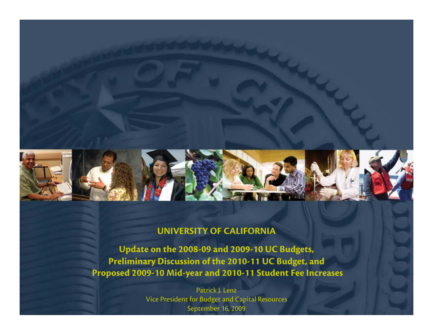

#### **UNIVERSITY OF CALIFORNIA**

**Update on the 2008-09 and 2009-10 UC Budgets, Preliminary Discussion of the 2010-11 UC Budget, and Proposed 2009-10 Mid-year and 2010-11 Student Fee Increases**

> Patrick J. Lenz Vice President for Budget and Capital Resources September 16, 2009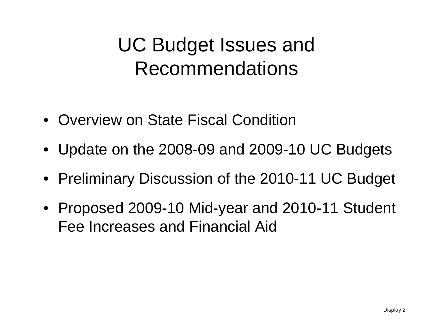#### UC Budget Issues and Recommendations

- Overview on State Fiscal Condition
- Update on the 2008-09 and 2009-10 UC Budgets
- Preliminary Discussion of the 2010-11 UC Budget
- Proposed 2009-10 Mid-year and 2010-11 Student Fee Increases and Financial Aid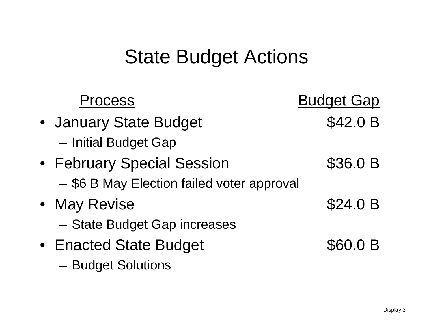#### State Budget Actions

| <b>Process</b>                             | <b>Budget Gap</b> |
|--------------------------------------------|-------------------|
| • January State Budget                     | \$42.0 B          |
| - Initial Budget Gap                       |                   |
| • February Special Session                 | \$36.0 B          |
| - \$6 B May Election failed voter approval |                   |
| • May Revise                               | \$24.0 B          |
| - State Budget Gap increases               |                   |
| • Enacted State Budget                     | \$60.0 B          |
| - Budget Solutions                         |                   |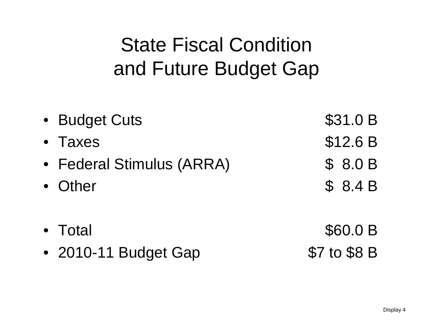## State Fiscal Condition and Future Budget Gap

| • Budget Cuts             | \$31.0 B |
|---------------------------|----------|
| • Taxes                   | \$12.6 B |
| • Federal Stimulus (ARRA) | \$8.0B   |
| • Other                   | \$8.4B   |
| $\bullet$ Total           | \$60.0 B |

• 2010-11 Budget Gap \$7 to \$8 B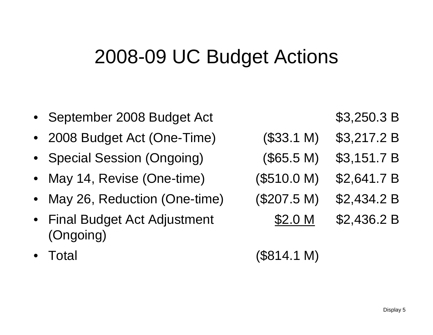#### 2008-09 UC Budget Actions

- •September 2008 Budget Act  $$3,250.3 B$  $\bullet$  2008 Budget Act (One-Time) (\$33.1 M) \$3,217.2 B •Special Session (Ongoing) (\$65.5 M) \$3,151.7 B • May 14, Revise (One-time) (\$510.0 M) \$2,641.7 B  $\bullet$  May 26, Reduction (One-time) (\$207.5 M) \$2,434.2 B •Final Budget Act Adjustment  $$2.0 M$  \$2,436.2 B (Ongoing) Total (\$814.1 M)
	- •

Display 5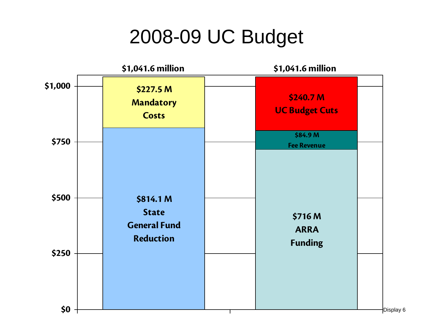#### 2008-09 UC Budget

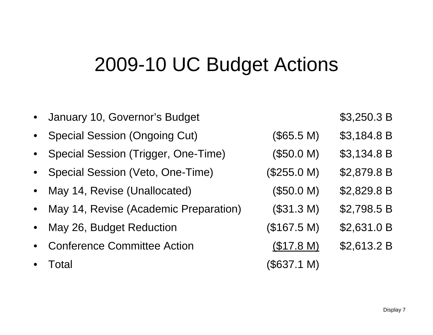#### 2009-10 UC Budget Actions

| • January 10, Governor's Budget         |             | \$3,250.3 B |
|-----------------------------------------|-------------|-------------|
| • Special Session (Ongoing Cut)         | (\$65.5 M)  | \$3,184.8 B |
| • Special Session (Trigger, One-Time)   | (\$50.0 M)  | \$3,134.8 B |
| • Special Session (Veto, One-Time)      | (\$255.0 M) | \$2,879.8 B |
| • May 14, Revise (Unallocated)          | (\$50.0 M)  | \$2,829.8 B |
| • May 14, Revise (Academic Preparation) | (\$31.3 M)  | \$2,798.5 B |
| • May 26, Budget Reduction              | (\$167.5 M) | \$2,631.0 B |
| • Conference Committee Action           | (\$17.8 M)  | \$2,613.2 B |
| Total                                   | (\$637.1 M) |             |
|                                         |             |             |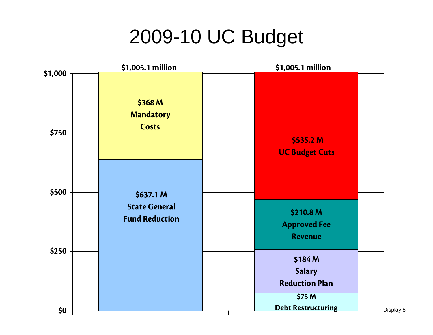#### 2009-10 UC Budget

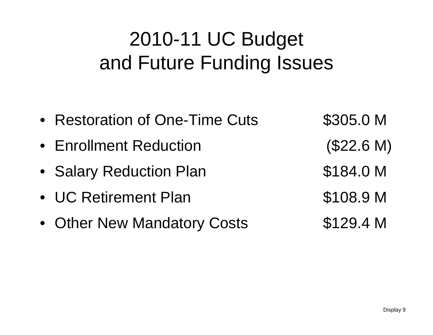## 2010-11 UC Budget and Future Funding Issues

| • Restoration of One-Time Cuts | \$305.0 M  |
|--------------------------------|------------|
| • Enrollment Reduction         | (\$22.6 M) |
| • Salary Reduction Plan        | \$184.0 M  |
| • UC Retirement Plan           | \$108.9 M  |
| • Other New Mandatory Costs    | \$129.4 M  |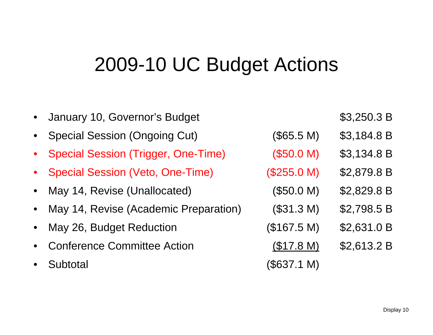#### 2009-10 UC Budget Actions

|           | • January 10, Governor's Budget         |             | \$3,250.3 B |
|-----------|-----------------------------------------|-------------|-------------|
|           | • Special Session (Ongoing Cut)         | (\$65.5 M)  | \$3,184.8 B |
|           | • Special Session (Trigger, One-Time)   | (\$50.0 M)  | \$3,134.8 B |
|           | • Special Session (Veto, One-Time)      | (\$255.0 M) | \$2,879.8 B |
|           | • May 14, Revise (Unallocated)          | (\$50.0 M)  | \$2,829.8 B |
|           | • May 14, Revise (Academic Preparation) | (\$31.3 M)  | \$2,798.5 B |
|           | • May 26, Budget Reduction              | (\$167.5 M) | \$2,631.0 B |
|           | • Conference Committee Action           | (\$17.8 M)  | \$2,613.2 B |
| $\bullet$ | Subtotal                                | (\$637.1 M) |             |
|           |                                         |             |             |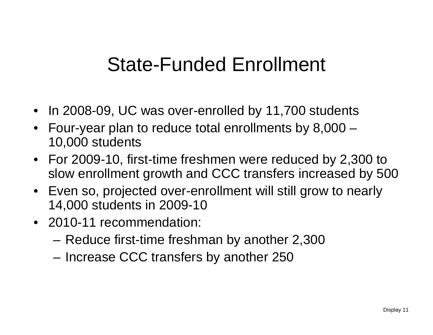#### State-Funded Enrollment

- In 2008-09, UC was over-enrolled by 11,700 students
- Four-year plan to reduce total enrollments by 8,000 10,000 students
- For 2009-10, first-time freshmen were reduced by 2,300 to slow enrollment growth and CCC transfers increased by 500
- Even so, projected over-enrollment will still grow to nearly 14,000 students in 2009-10
- 2010-11 recommendation:
	- Reduce first-time freshman by another 2,300
	- –Increase CCC transfers by another 250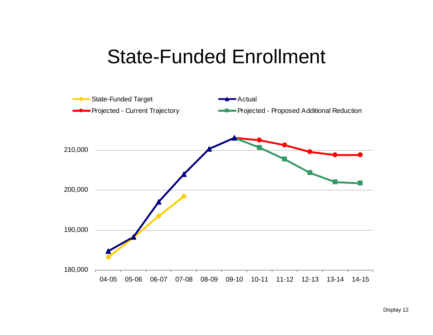#### State-Funded Enrollment

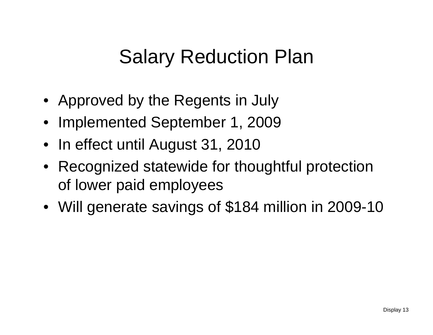#### Salary Reduction Plan

- Approved by the Regents in July
- Implemented September 1, 2009
- In effect until August 31, 2010
- Recognized statewide for thoughtful protection of lower paid employees
- Will generate savings of \$184 million in 2009-10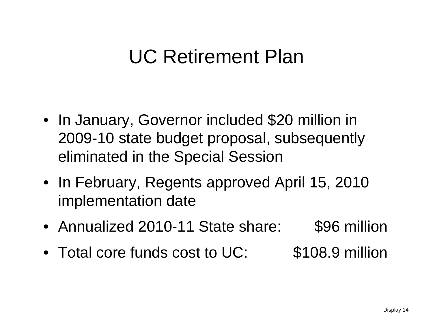#### UC Retirement Plan

- In January, Governor included \$20 million in 2009-10 state budget proposal, subsequently eliminated in the Special Session
- In February, Regents approved April 15, 2010 implementation date
- Annualized 2010-11 State share: \$96 million
- Total core funds cost to UC: \$108.9 million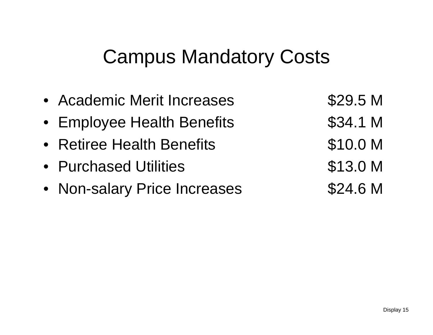#### Campus Mandatory Costs

- Academic Merit Increases \$29.5 M
- Employee Health Benefits **\$34.1 M**
- Retiree Health Benefits **\$10.0 M**
- Purchased Utilities **\$13.0 M**
- Non-salary Price Increases \$24.6 M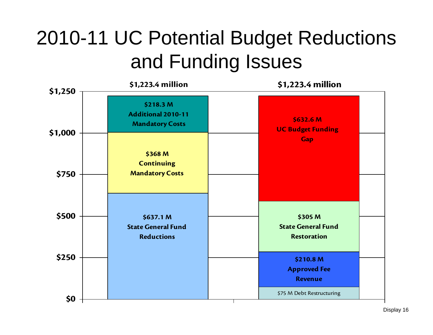## 2010-11 UC Potential Budget Reductions and Funding Issues

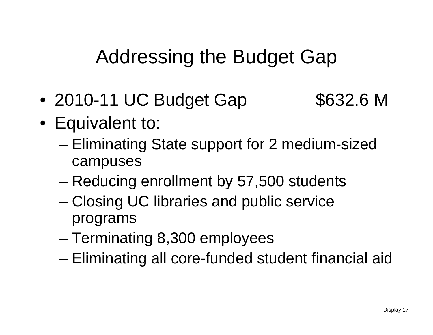Addressing the Budget Gap

 $\bullet$ 2010-11 UC Budget Gap \$632.6 M

- Equivalent to:
	- – Eliminating State support for 2 medium-sized campuses
	- Reducing enrollment by 57,500 students
	- – Closing UC libraries and public service programs
	- Terminating 8,300 employees
	- –Eliminating all core-funded student financial aid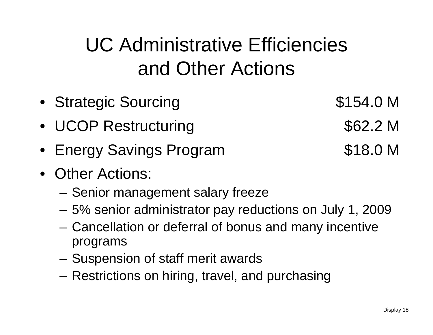# UC Administrative Efficiencies and Other Actions

- Strategic Sourcing **\$154.0 M**
- UCOP Restructuring \*62.2 M
- Energy Savings Program **\$18.0 M**
- Other Actions:
	- Senior management salary freeze
	- 5% senior administrator pay reductions on July 1, 2009
	- Cancellation or deferral of bonus and many incentive programs
	- Suspension of staff merit awards
	- Restrictions on hiring, travel, and purchasing

Display 18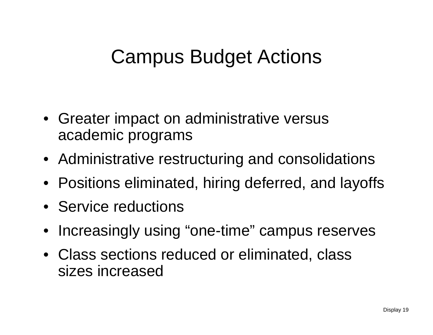#### Campus Budget Actions

- Greater impact on administrative versus academic programs
- Administrative restructuring and consolidations
- Positions eliminated, hiring deferred, and layoffs
- Service reductions
- Increasingly using "one-time" campus reserves
- Class sections reduced or eliminated, class sizes increased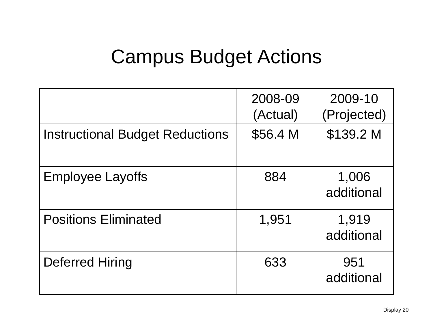#### Campus Budget Actions

|                                        | 2008-09<br>(Actual) | 2009-10<br>(Projected) |
|----------------------------------------|---------------------|------------------------|
| <b>Instructional Budget Reductions</b> | \$56.4 M            | \$139.2 M              |
| <b>Employee Layoffs</b>                | 884                 | 1,006<br>additional    |
| <b>Positions Eliminated</b>            | 1,951               | 1,919<br>additional    |
| Deferred Hiring                        | 633                 | 951<br>additional      |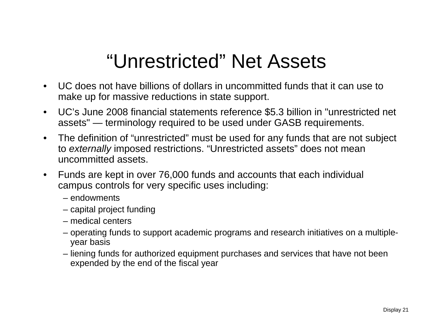#### "Unrestricted" Net Assets

- $\bullet$  UC does not have billions of dollars in uncommitted funds that it can use to make up for massive reductions in state support.
- $\bullet$  UC's June 2008 financial statements reference \$5.3 billion in "unrestricted net assets" — terminology required to be used under GASB requirements.
- $\bullet$  The definition of "unrestricted" must be used for any funds that are not subject to *externally* imposed restrictions. "Unrestricted assets" does not mean uncommitted assets.
- $\bullet$  Funds are kept in over 76,000 funds and accounts that each individual campus controls for very specific uses including:
	- endowments
	- capital project funding
	- medical centers
	- operating funds to support academic programs and research initiatives on a multipleyear basis
	- liening funds for authorized equipment purchases and services that have not been expended by the end of the fiscal year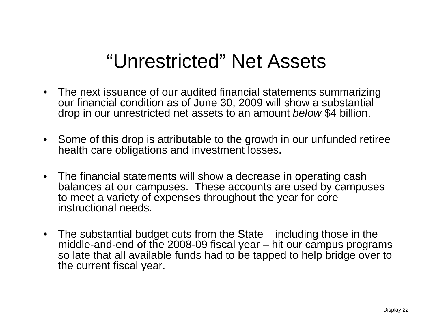#### "Unrestricted" Net Assets

- The next issuance of our audited financial statements summarizing our financial condition as of June 30, 2009 will show a substantial drop in our unrestricted net assets to an amount *below* \$4 billion.
- Some of this drop is attributable to the growth in our unfunded retiree health care obligations and investment losses.
- The financial statements will show a decrease in operating cash balances at our campuses. These accounts are used by campuses to meet a variety of expenses throughout the year for core instructional needs.
- The substantial budget cuts from the State including those in the middle-and-end of the 2008-09 fiscal year – hit our campus programs so late that all available funds had to be tapped to help bridge over to the current fiscal year.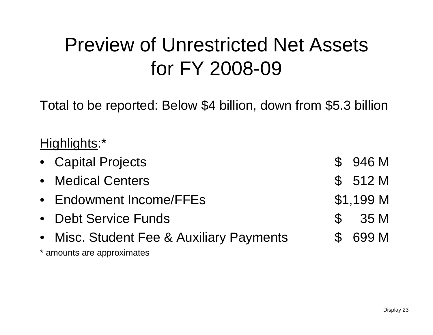#### Preview of Unrestricted Net Assets for FY 2008-09

Total to be reported: Below \$4 billion, down from \$5.3 billion

#### Highlights:\*

| • Capital Projects                       | \$946 M   |  |
|------------------------------------------|-----------|--|
| • Medical Centers                        | \$512M    |  |
| • Endowment Income/FFEs                  | \$1,199 M |  |
| • Debt Service Funds                     | \$35 M    |  |
| • Misc. Student Fee & Auxiliary Payments | \$ 699 M  |  |
| * amounts are approximates               |           |  |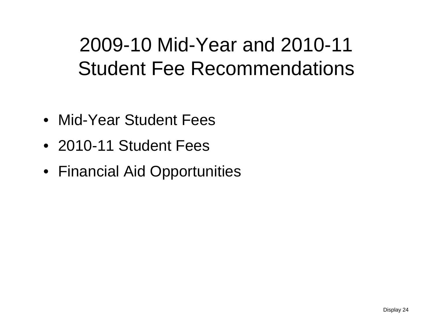#### 2009-10 Mid-Year and 2010-11 Student Fee Recommendations

- Mid-Year Student Fees
- 2010-11 Student Fees
- Financial Aid Opportunities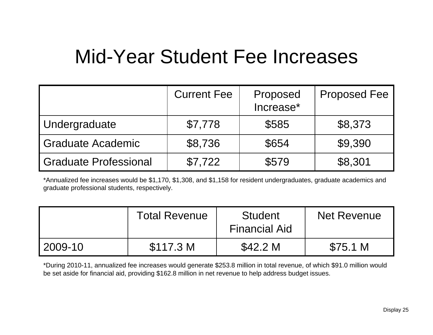#### Mid-Year Student Fee Increases

|                       | <b>Current Fee</b> | Proposed<br>Increase* | <b>Proposed Fee</b> |
|-----------------------|--------------------|-----------------------|---------------------|
| Undergraduate         | \$7,778            | \$585                 | \$8,373             |
| Graduate Academic     | \$8,736            | \$654                 | \$9,390             |
| Graduate Professional | \$7,722            | \$579                 | \$8,301             |

\*Annualized fee increases would be \$1,170, \$1,308, and \$1,158 for resident undergraduates, graduate academics and graduate professional students, respectively.

|           | <b>Total Revenue</b> | <b>Student</b><br><b>Financial Aid</b> | <b>Net Revenue</b> |
|-----------|----------------------|----------------------------------------|--------------------|
| l 2009-10 | \$117.3 M            | \$42.2 M                               | \$75.1 M           |

\*During 2010-11, annualized fee increases would generate \$253.8 million in total revenue, of which \$91.0 million would be set aside for financial aid, providing \$162.8 million in net revenue to help address budget issues.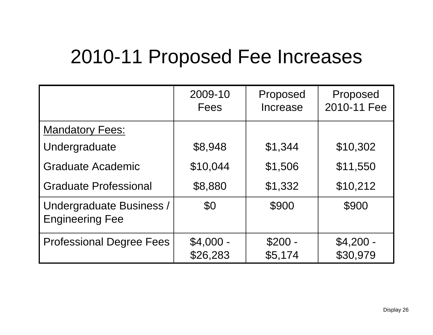#### 2010-11 Proposed Fee Increases

|                                                    | 2009-10<br>Fees        | Proposed<br>Increase | Proposed<br>2010-11 Fee |
|----------------------------------------------------|------------------------|----------------------|-------------------------|
| <b>Mandatory Fees:</b>                             |                        |                      |                         |
| Undergraduate                                      | \$8,948                | \$1,344              | \$10,302                |
| <b>Graduate Academic</b>                           | \$10,044               | \$1,506              | \$11,550                |
| <b>Graduate Professional</b>                       | \$8,880                | \$1,332              | \$10,212                |
| Undergraduate Business /<br><b>Engineering Fee</b> | \$0                    | \$900                | \$900                   |
| <b>Professional Degree Fees</b>                    | $$4,000 -$<br>\$26,283 | $$200 -$<br>\$5,174  | $$4,200 -$<br>\$30,979  |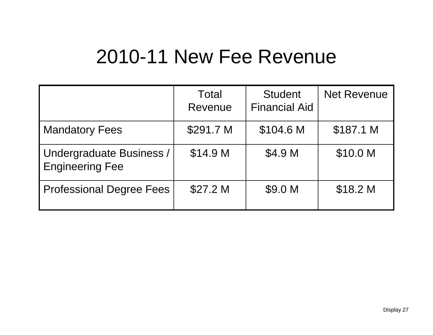#### 2010-11 New Fee Revenue

|                                             | Total<br>Revenue | <b>Student</b><br><b>Financial Aid</b> | <b>Net Revenue</b> |
|---------------------------------------------|------------------|----------------------------------------|--------------------|
| <b>Mandatory Fees</b>                       | \$291.7 M        | \$104.6 M                              | \$187.1 M          |
| Undergraduate Business /<br>Engineering Fee | \$14.9 M         | \$4.9 M                                | \$10.0 M           |
| Professional Degree Fees                    | \$27.2 M         | \$9.0 M                                | \$18.2 M           |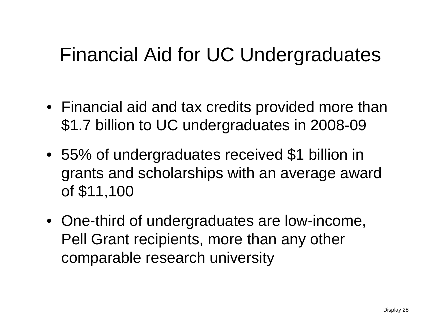#### Financial Aid for UC Undergraduates

- Financial aid and tax credits provided more than \$1.7 billion to UC undergraduates in 2008-09
- 55% of undergraduates received \$1 billion in grants and scholarships with an average award of \$11,100
- One-third of undergraduates are low-income, Pell Grant recipients, more than any other comparable research university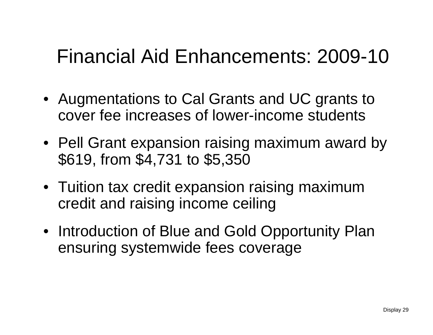#### Financial Aid Enhancements: 2009-10

- Augmentations to Cal Grants and UC grants to cover fee increases of lower-income students
- Pell Grant expansion raising maximum award by \$619, from \$4,731 to \$5,350
- Tuition tax credit expansion raising maximum credit and raising income ceiling
- Introduction of Blue and Gold Opportunity Plan ensuring systemwide fees coverage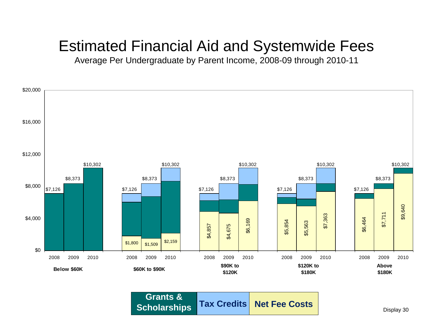#### Estimated Financial Aid and Systemwide Fees

Average Per Undergraduate by Parent Income, 2008-09 through 2010-11



**Tax Credits Net Fee CostsGrants & Scholarships**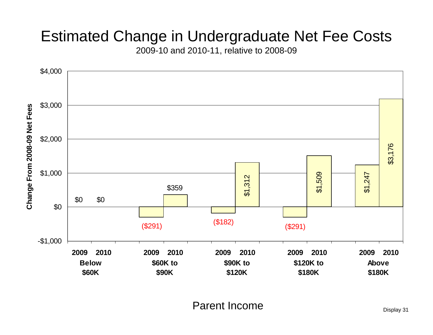#### Estimated Change in Undergraduate Net Fee Costs

2009-10 and 2010-11, relative to 2008-09



Parent Income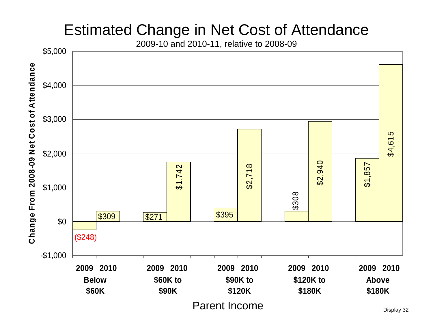#### Estimated Change in Net Cost of Attendance

2009-10 and 2010-11, relative to 2008-09

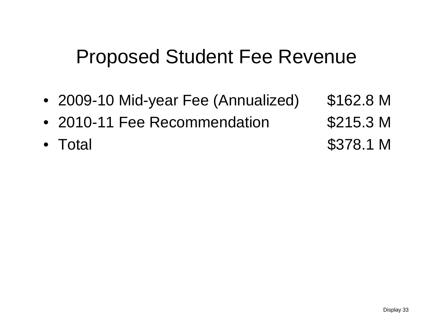#### Proposed Student Fee Revenue

- 2009-10 Mid-year Fee (Annualized) \$162.8 M
- 2010-11 Fee Recommendation \$215.3 M
- Total
- 
- \$378.1 M